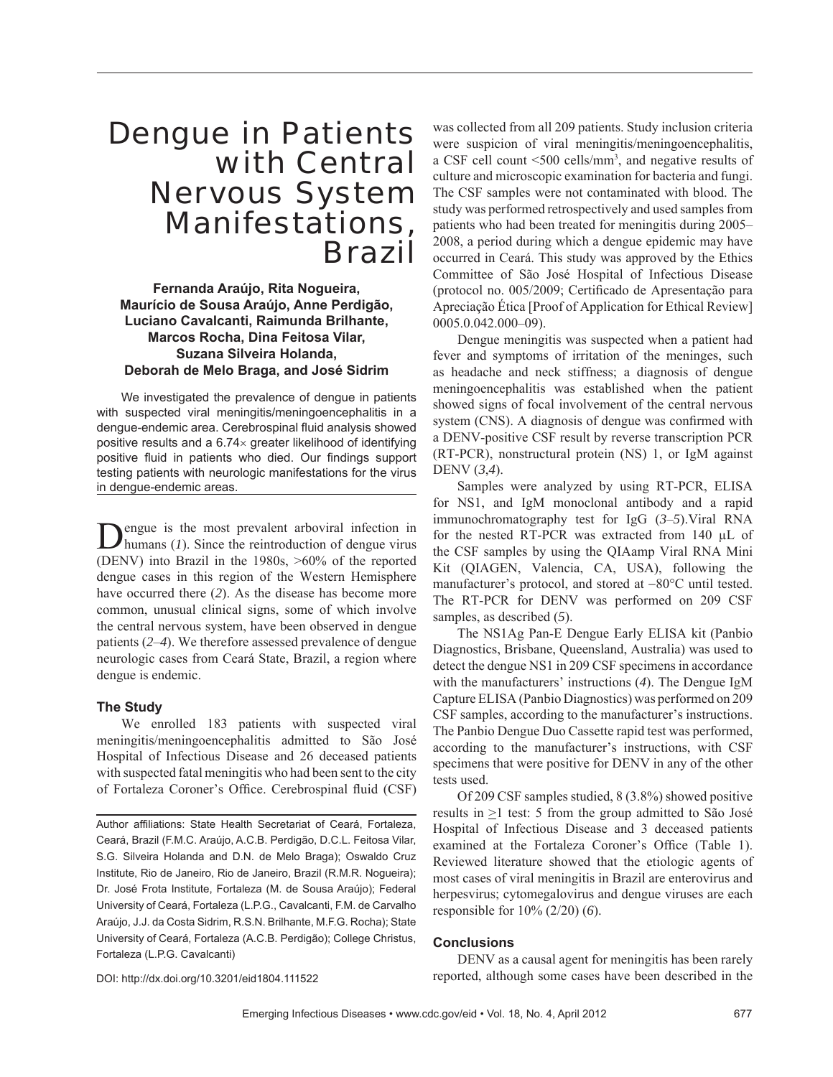# Dengue in Patients with Central Nervous System Manifestations, Brazil

**Fernanda Araújo, Rita Nogueira, Maurício de Sousa Araújo, Anne Perdigão, Luciano Cavalcanti, Raimunda Brilhante, Marcos Rocha, Dina Feitosa Vilar, Suzana Silveira Holanda, Deborah de Melo Braga, and José Sidrim**

We investigated the prevalence of dengue in patients with suspected viral meningitis/meningoencephalitis in a dengue-endemic area. Cerebrospinal fluid analysis showed positive results and a 6.74× greater likelihood of identifying positive fluid in patients who died. Our findings support testing patients with neurologic manifestations for the virus in dengue-endemic areas.

Dengue is the most prevalent arboviral infection in humans (*1*). Since the reintroduction of dengue virus (DENV) into Brazil in the 1980s, >60% of the reported dengue cases in this region of the Western Hemisphere have occurred there (*2*). As the disease has become more common, unusual clinical signs, some of which involve the central nervous system, have been observed in dengue patients (*2*–*4*). We therefore assessed prevalence of dengue neurologic cases from Ceará State, Brazil, a region where dengue is endemic.

## **The Study**

We enrolled 183 patients with suspected viral meningitis/meningoencephalitis admitted to São José Hospital of Infectious Disease and 26 deceased patients with suspected fatal meningitis who had been sent to the city of Fortaleza Coroner's Office. Cerebrospinal fluid (CSF)

Author affiliations: State Health Secretariat of Ceará, Fortaleza, Ceará, Brazil (F.M.C. Araújo, A.C.B. Perdigão, D.C.L. Feitosa Vilar, S.G. Silveira Holanda and D.N. de Melo Braga); Oswaldo Cruz Institute, Rio de Janeiro, Rio de Janeiro, Brazil (R.M.R. Nogueira); Dr. José Frota Institute, Fortaleza (M. de Sousa Araújo); Federal University of Ceará, Fortaleza (L.P.G., Cavalcanti, F.M. de Carvalho Araújo, J.J. da Costa Sidrim, R.S.N. Brilhante, M.F.G. Rocha); State University of Ceará, Fortaleza (A.C.B. Perdigão); College Christus, Fortaleza (L.P.G. Cavalcanti)

was collected from all 209 patients. Study inclusion criteria were suspicion of viral meningitis/meningoencephalitis, a CSF cell count <500 cells/mm3 , and negative results of culture and microscopic examination for bacteria and fungi. The CSF samples were not contaminated with blood. The study was performed retrospectively and used samples from patients who had been treated for meningitis during 2005– 2008, a period during which a dengue epidemic may have occurred in Ceará. This study was approved by the Ethics Committee of São José Hospital of Infectious Disease (protocol no. 005/2009; Certificado de Apresentação para Apreciação Ética [Proof of Application for Ethical Review] 0005.0.042.000–09).

Dengue meningitis was suspected when a patient had fever and symptoms of irritation of the meninges, such as headache and neck stiffness; a diagnosis of dengue meningoencephalitis was established when the patient showed signs of focal involvement of the central nervous system (CNS). A diagnosis of dengue was confirmed with a DENV-positive CSF result by reverse transcription PCR (RT-PCR), nonstructural protein (NS) 1, or IgM against DENV (*3*,*4*).

Samples were analyzed by using RT-PCR, ELISA for NS1, and IgM monoclonal antibody and a rapid immunochromatography test for IgG (*3*–*5*).Viral RNA for the nested RT-PCR was extracted from 140 μL of the CSF samples by using the QIAamp Viral RNA Mini Kit (QIAGEN, Valencia, CA, USA), following the manufacturer's protocol, and stored at −80°C until tested. The RT-PCR for DENV was performed on 209 CSF samples, as described (*5*).

The NS1Ag Pan-E Dengue Early ELISA kit (Panbio Diagnostics, Brisbane, Queensland, Australia) was used to detect the dengue NS1 in 209 CSF specimens in accordance with the manufacturers' instructions (*4*). The Dengue IgM Capture ELISA (Panbio Diagnostics) was performed on 209 CSF samples, according to the manufacturer's instructions. The Panbio Dengue Duo Cassette rapid test was performed, according to the manufacturer's instructions, with CSF specimens that were positive for DENV in any of the other tests used.

Of 209 CSF samples studied, 8 (3.8%) showed positive results in  $\geq$ 1 test: 5 from the group admitted to São José Hospital of Infectious Disease and 3 deceased patients examined at the Fortaleza Coroner's Office (Table 1). Reviewed literature showed that the etiologic agents of most cases of viral meningitis in Brazil are enterovirus and herpesvirus; cytomegalovirus and dengue viruses are each responsible for 10% (2/20) (*6*).

## **Conclusions**

DOI: http://dx.doi.org/10.3201/eid1804.111522

DENV as a causal agent for meningitis has been rarely reported, although some cases have been described in the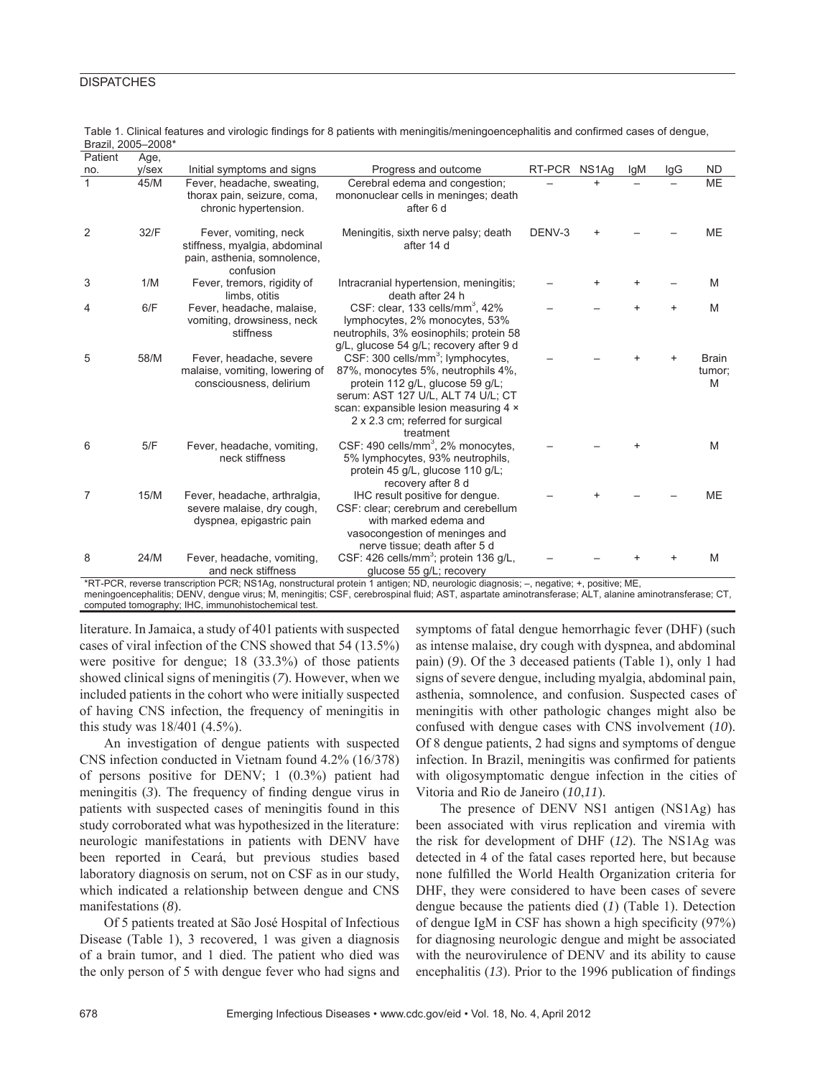## **DISPATCHES**

| Patient      | Age,  |                                                                                                    |                                                                                                                                                                                                                                                          |              |           |     |           |                             |
|--------------|-------|----------------------------------------------------------------------------------------------------|----------------------------------------------------------------------------------------------------------------------------------------------------------------------------------------------------------------------------------------------------------|--------------|-----------|-----|-----------|-----------------------------|
| no.          | y/sex | Initial symptoms and signs                                                                         | Progress and outcome                                                                                                                                                                                                                                     | RT-PCR NS1Ag |           | lgM | lgG       | <b>ND</b>                   |
| $\mathbf{1}$ | 45/M  | Fever, headache, sweating,<br>thorax pain, seizure, coma,<br>chronic hypertension.                 | Cerebral edema and congestion;<br>mononuclear cells in meninges; death<br>after 6 d                                                                                                                                                                      |              | $\ddot{}$ |     |           | <b>ME</b>                   |
| 2            | 32/F  | Fever, vomiting, neck<br>stiffness, myalgia, abdominal<br>pain, asthenia, somnolence,<br>confusion | Meningitis, sixth nerve palsy; death<br>after 14 d                                                                                                                                                                                                       | DENV-3       |           |     |           | <b>ME</b>                   |
| 3            | 1/M   | Fever, tremors, rigidity of<br>limbs, otitis                                                       | Intracranial hypertension, meningitis;<br>death after 24 h                                                                                                                                                                                               |              |           |     |           | M                           |
| 4            | 6/F   | Fever, headache, malaise,<br>vomiting, drowsiness, neck<br>stiffness                               | CSF: clear, 133 cells/mm <sup>3</sup> , 42%<br>lymphocytes, 2% monocytes, 53%<br>neutrophils, 3% eosinophils; protein 58<br>g/L, glucose 54 g/L; recovery after 9 d                                                                                      |              |           |     | $\ddot{}$ | M                           |
| 5            | 58/M  | Fever, headache, severe<br>malaise, vomiting, lowering of<br>consciousness, delirium               | CSF: 300 cells/mm <sup>3</sup> ; lymphocytes,<br>87%, monocytes 5%, neutrophils 4%,<br>protein 112 g/L, glucose 59 g/L;<br>serum: AST 127 U/L, ALT 74 U/L; CT<br>scan: expansible lesion measuring 4 x<br>2 x 2.3 cm; referred for surgical<br>treatment |              |           |     |           | <b>Brain</b><br>tumor;<br>M |
| 6            | 5/F   | Fever, headache, vomiting,<br>neck stiffness                                                       | CSF: 490 cells/mm <sup>3</sup> , 2% monocytes,<br>5% lymphocytes, 93% neutrophils,<br>protein 45 g/L, glucose 110 g/L;<br>recovery after 8 d                                                                                                             |              |           |     |           | M                           |
| 7            | 15/M  | Fever, headache, arthralgia,<br>severe malaise, dry cough,<br>dyspnea, epigastric pain             | IHC result positive for dengue.<br>CSF: clear; cerebrum and cerebellum<br>with marked edema and<br>vasocongestion of meninges and<br>nerve tissue; death after 5 d                                                                                       |              |           |     |           | <b>ME</b>                   |
| 8            | 24/M  | Fever, headache, vomiting,<br>and neck stiffness                                                   | CSF: 426 cells/mm <sup>3</sup> ; protein 136 g/L,<br>glucose 55 g/L; recovery                                                                                                                                                                            |              |           |     |           | M                           |

Table 1. Clinical features and virologic findings for 8 patients with meningitis/meningoencephalitis and confirmed cases of dengue, Brazil, 2005–2008\*

\*RT-PCR, reverse transcription PCR; NS1Ag, nonstructural protein 1 antigen; ND, neurologic diagnosis; –, negative; +, positive; ME, meningoencephalitis; DENV, dengue virus; M, meningitis; CSF, cerebrospinal fluid; AST, aspartate aminotransferase; ALT, alanine aminotransferase; CT,

computed tomography; IHC, immunohistochemical test.

literature. In Jamaica, a study of 401 patients with suspected cases of viral infection of the CNS showed that 54 (13.5%) were positive for dengue; 18 (33.3%) of those patients showed clinical signs of meningitis (*7*). However, when we included patients in the cohort who were initially suspected of having CNS infection, the frequency of meningitis in this study was 18/401 (4.5%).

An investigation of dengue patients with suspected CNS infection conducted in Vietnam found 4.2% (16/378) of persons positive for DENV; 1 (0.3%) patient had meningitis  $(3)$ . The frequency of finding dengue virus in patients with suspected cases of meningitis found in this study corroborated what was hypothesized in the literature: neurologic manifestations in patients with DENV have been reported in Ceará, but previous studies based laboratory diagnosis on serum, not on CSF as in our study, which indicated a relationship between dengue and CNS manifestations (*8*).

Of 5 patients treated at São José Hospital of Infectious Disease (Table 1), 3 recovered, 1 was given a diagnosis of a brain tumor, and 1 died. The patient who died was the only person of 5 with dengue fever who had signs and symptoms of fatal dengue hemorrhagic fever (DHF) (such as intense malaise, dry cough with dyspnea, and abdominal pain) (*9*). Of the 3 deceased patients (Table 1), only 1 had signs of severe dengue, including myalgia, abdominal pain, asthenia, somnolence, and confusion. Suspected cases of meningitis with other pathologic changes might also be confused with dengue cases with CNS involvement (*10*). Of 8 dengue patients, 2 had signs and symptoms of dengue infection. In Brazil, meningitis was confirmed for patients with oligosymptomatic dengue infection in the cities of Vitoria and Rio de Janeiro (*10*,*11*).

The presence of DENV NS1 antigen (NS1Ag) has been associated with virus replication and viremia with the risk for development of DHF (*12*). The NS1Ag was detected in 4 of the fatal cases reported here, but because none fulfilled the World Health Organization criteria for DHF, they were considered to have been cases of severe dengue because the patients died (*1*) (Table 1). Detection of dengue IgM in CSF has shown a high specificity  $(97%)$ for diagnosing neurologic dengue and might be associated with the neurovirulence of DENV and its ability to cause encephalitis  $(13)$ . Prior to the 1996 publication of findings